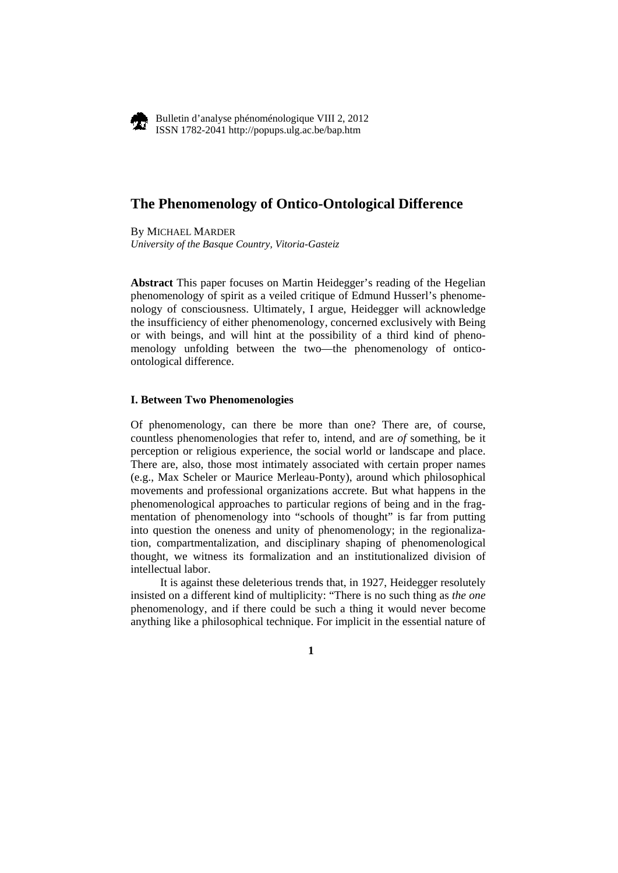

Bulletin d'analyse phénoménologique VIII 2, 2012 ISSN 1782-2041 http://popups.ulg.ac.be/bap.htm

# **The Phenomenology of Ontico-Ontological Difference**

By MICHAEL MARDER *University of the Basque Country, Vitoria-Gasteiz* 

**Abstract** This paper focuses on Martin Heidegger's reading of the Hegelian phenomenology of spirit as a veiled critique of Edmund Husserl's phenomenology of consciousness. Ultimately, I argue, Heidegger will acknowledge the insufficiency of either phenomenology, concerned exclusively with Being or with beings, and will hint at the possibility of a third kind of phenomenology unfolding between the two—the phenomenology of onticoontological difference.

### **I. Between Two Phenomenologies**

Of phenomenology, can there be more than one? There are, of course, countless phenomenologies that refer to, intend, and are *of* something, be it perception or religious experience, the social world or landscape and place. There are, also, those most intimately associated with certain proper names (e.g., Max Scheler or Maurice Merleau-Ponty), around which philosophical movements and professional organizations accrete. But what happens in the phenomenological approaches to particular regions of being and in the fragmentation of phenomenology into "schools of thought" is far from putting into question the oneness and unity of phenomenology; in the regionalization, compartmentalization, and disciplinary shaping of phenomenological thought, we witness its formalization and an institutionalized division of intellectual labor.

It is against these deleterious trends that, in 1927, Heidegger resolutely insisted on a different kind of multiplicity: "There is no such thing as *the one*  phenomenology, and if there could be such a thing it would never become anything like a philosophical technique. For implicit in the essential nature of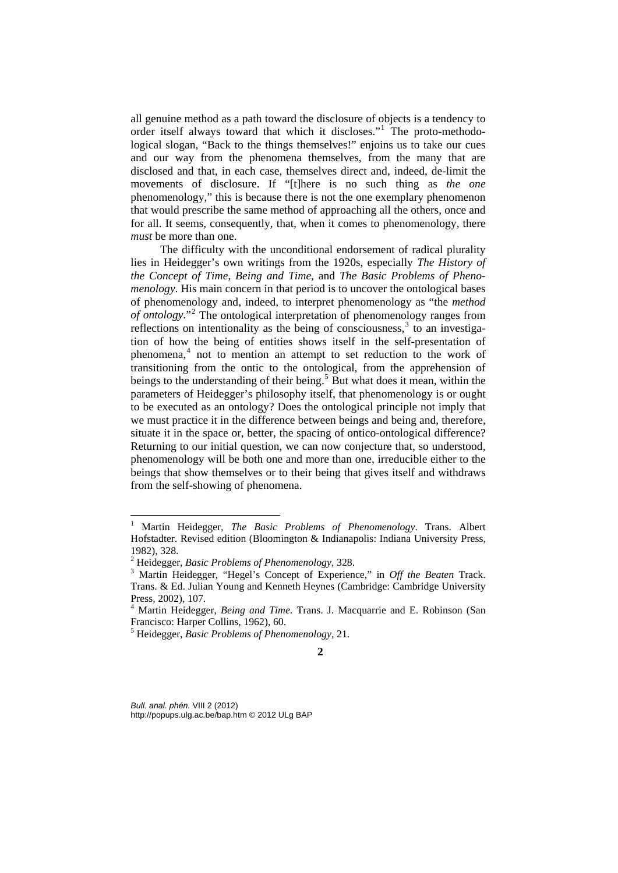all genuine method as a path toward the disclosure of objects is a tendency to order itself always toward that which it discloses."<sup>[1](#page-1-0)</sup> The proto-methodological slogan, "Back to the things themselves!" enjoins us to take our cues and our way from the phenomena themselves, from the many that are disclosed and that, in each case, themselves direct and, indeed, de-limit the movements of disclosure. If "[t]here is no such thing as *the one*  phenomenology," this is because there is not the one exemplary phenomenon that would prescribe the same method of approaching all the others, once and for all. It seems, consequently, that, when it comes to phenomenology, there *must* be more than one.

<span id="page-1-0"></span>The difficulty with the unconditional endorsement of radical plurality lies in Heidegger's own writings from the 1920s, especially *The History of the Concept of Time*, *Being and Time*, and *The Basic Problems of Phenomenology*. His main concern in that period is to uncover the ontological bases of phenomenology and, indeed, to interpret phenomenology as "the *method of ontology*."[2](#page-1-1) The ontological interpretation of phenomenology ranges from reflections on intentionality as the being of consciousness, $3$  to an investigation of how the being of entities shows itself in the self-presentation of phenomena,<sup>[4](#page-1-3)</sup> not to mention an attempt to set reduction to the work of transitioning from the ontic to the ontological, from the apprehension of beings to the understanding of their being.<sup>[5](#page-1-4)</sup> But what does it mean, within the parameters of Heidegger's philosophy itself, that phenomenology is or ought to be executed as an ontology? Does the ontological principle not imply that we must practice it in the difference between beings and being and, therefore, situate it in the space or, better, the spacing of ontico-ontological difference? Returning to our initial question, we can now conjecture that, so understood, phenomenology will be both one and more than one, irreducible either to the beings that show themselves or to their being that gives itself and withdraws from the self-showing of phenomena.

<sup>1</sup> Martin Heidegger, *The Basic Problems of Phenomenology*. Trans. Albert Hofstadter. Revised edition (Bloomington & Indianapolis: Indiana University Press, 1982), 328.

<span id="page-1-1"></span><sup>&</sup>lt;sup>2</sup> Heidegger, *Basic Problems of Phenomenology*, 328.<br><sup>3</sup> Mertin Heidegger, "Hegel's Concent of Experience

<span id="page-1-2"></span><sup>&</sup>lt;sup>3</sup> Martin Heidegger, "Hegel's Concept of Experience," in *Off the Beaten* Track. Trans. & Ed. Julian Young and Kenneth Heynes (Cambridge: Cambridge University Press, 2002), 107.

<span id="page-1-3"></span><sup>&</sup>lt;sup>4</sup> Martin Heidegger, *Being and Time*. Trans. J. Macquarrie and E. Robinson (San Francisco: Harper Collins, 1962), 60.

<span id="page-1-4"></span><sup>5</sup> Heidegger, *Basic Problems of Phenomenology*, 21.

**<sup>2</sup>**

*Bull. anal. phén.* VIII 2 (2012) http://popups.ulg.ac.be/bap.htm © 2012 ULg BAP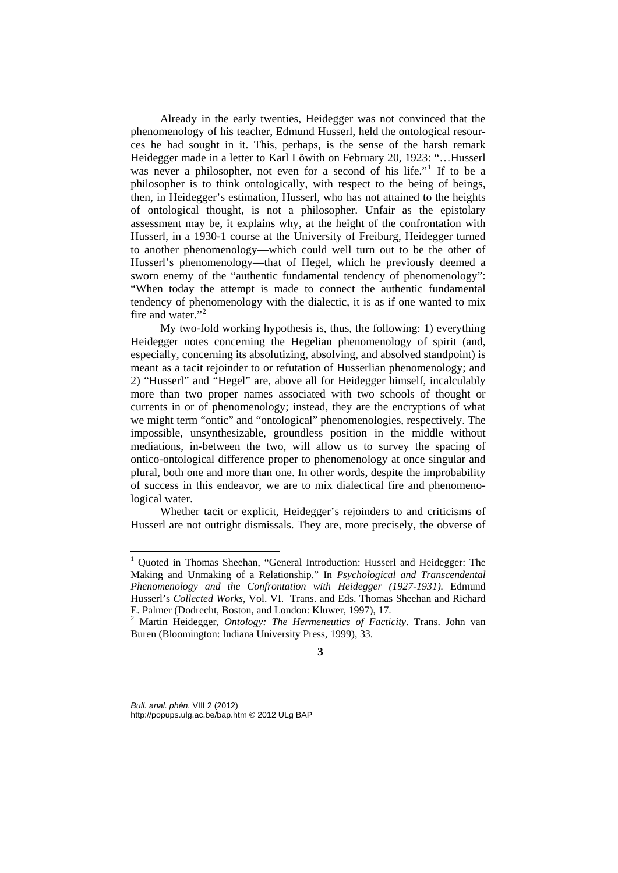Already in the early twenties, Heidegger was not convinced that the phenomenology of his teacher, Edmund Husserl, held the ontological resources he had sought in it. This, perhaps, is the sense of the harsh remark Heidegger made in a letter to Karl Löwith on February 20, 1923: "…Husserl was never a philosopher, not even for a second of his life."<sup>[1](#page-2-0)</sup> If to be a philosopher is to think ontologically, with respect to the being of beings, then, in Heidegger's estimation, Husserl, who has not attained to the heights of ontological thought, is not a philosopher. Unfair as the epistolary assessment may be, it explains why, at the height of the confrontation with Husserl, in a 1930-1 course at the University of Freiburg, Heidegger turned to another phenomenology—which could well turn out to be the other of Husserl's phenomenology—that of Hegel, which he previously deemed a sworn enemy of the "authentic fundamental tendency of phenomenology": "When today the attempt is made to connect the authentic fundamental tendency of phenomenology with the dialectic, it is as if one wanted to mix fire and water."<sup>[2](#page-2-1)</sup>

My two-fold working hypothesis is, thus, the following: 1) everything Heidegger notes concerning the Hegelian phenomenology of spirit (and, especially, concerning its absolutizing, absolving, and absolved standpoint) is meant as a tacit rejoinder to or refutation of Husserlian phenomenology; and 2) "Husserl" and "Hegel" are, above all for Heidegger himself, incalculably more than two proper names associated with two schools of thought or currents in or of phenomenology; instead, they are the encryptions of what we might term "ontic" and "ontological" phenomenologies, respectively. The impossible, unsynthesizable, groundless position in the middle without mediations, in-between the two, will allow us to survey the spacing of ontico-ontological difference proper to phenomenology at once singular and plural, both one and more than one. In other words, despite the improbability of success in this endeavor, we are to mix dialectical fire and phenomenological water.

Whether tacit or explicit, Heidegger's rejoinders to and criticisms of Husserl are not outright dismissals. They are, more precisely, the obverse of

**3**

<span id="page-2-0"></span><sup>&</sup>lt;sup>1</sup> Quoted in Thomas Sheehan, "General Introduction: Husserl and Heidegger: The Making and Unmaking of a Relationship." In *Psychological and Transcendental Phenomenology and the Confrontation with Heidegger (1927-1931).* Edmund Husserl's *Collected Works*, Vol. VI. Trans. and Eds. Thomas Sheehan and Richard E. Palmer (Dodrecht, Boston, and London: Kluwer, 1997), 17.

<span id="page-2-1"></span><sup>2</sup> Martin Heidegger, *Ontology: The Hermeneutics of Facticity*. Trans. John van Buren (Bloomington: Indiana University Press, 1999), 33.

*Bull. anal. phén.* VIII 2 (2012) http://popups.ulg.ac.be/bap.htm © 2012 ULg BAP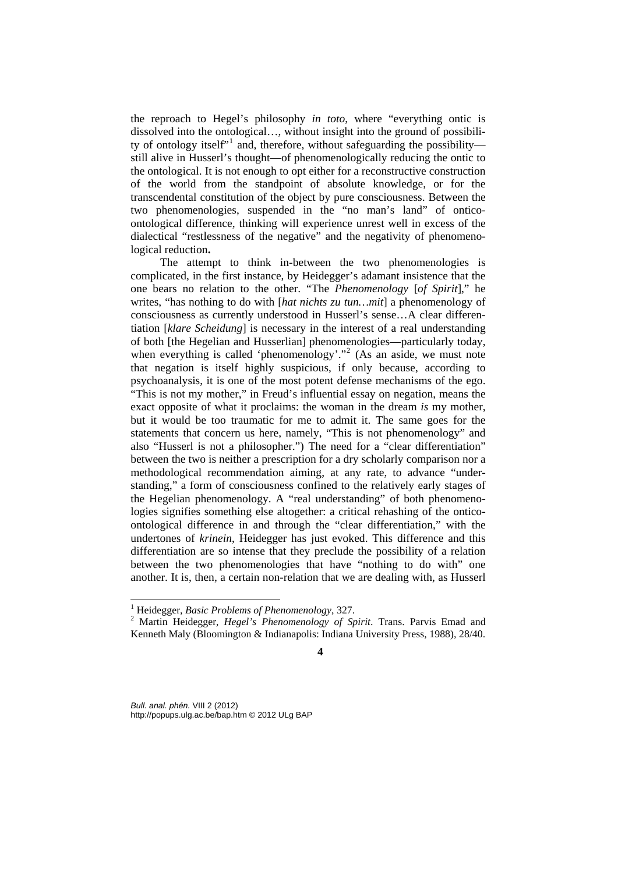the reproach to Hegel's philosophy *in toto*, where "everything ontic is dissolved into the ontological…, without insight into the ground of possibili-ty of ontology itself"<sup>[1](#page-3-0)</sup> and, therefore, without safeguarding the possibility still alive in Husserl's thought—of phenomenologically reducing the ontic to the ontological. It is not enough to opt either for a reconstructive construction of the world from the standpoint of absolute knowledge, or for the transcendental constitution of the object by pure consciousness. Between the two phenomenologies, suspended in the "no man's land" of onticoontological difference, thinking will experience unrest well in excess of the dialectical "restlessness of the negative" and the negativity of phenomenological reduction**.** 

The attempt to think in-between the two phenomenologies is complicated, in the first instance, by Heidegger's adamant insistence that the one bears no relation to the other. "The *Phenomenology* [*of Spirit*]," he writes, "has nothing to do with [*hat nichts zu tun…mit*] a phenomenology of consciousness as currently understood in Husserl's sense…A clear differentiation [*klare Scheidung*] is necessary in the interest of a real understanding of both [the Hegelian and Husserlian] phenomenologies—particularly today, when everything is called 'phenomenology'."<sup>[2](#page-3-1)</sup> (As an aside, we must note that negation is itself highly suspicious, if only because, according to psychoanalysis, it is one of the most potent defense mechanisms of the ego. "This is not my mother," in Freud's influential essay on negation, means the exact opposite of what it proclaims: the woman in the dream *is* my mother, but it would be too traumatic for me to admit it. The same goes for the statements that concern us here, namely, "This is not phenomenology" and also "Husserl is not a philosopher.") The need for a "clear differentiation" between the two is neither a prescription for a dry scholarly comparison nor a methodological recommendation aiming, at any rate, to advance "understanding," a form of consciousness confined to the relatively early stages of the Hegelian phenomenology. A "real understanding" of both phenomenologies signifies something else altogether: a critical rehashing of the onticoontological difference in and through the "clear differentiation," with the undertones of *krinein*, Heidegger has just evoked. This difference and this differentiation are so intense that they preclude the possibility of a relation between the two phenomenologies that have "nothing to do with" one another. It is, then, a certain non-relation that we are dealing with, as Husserl

**4**

<sup>&</sup>lt;sup>1</sup> Heidegger, *Basic Problems of Phenomenology*, 327.

<span id="page-3-1"></span><span id="page-3-0"></span><sup>&</sup>lt;sup>2</sup> Martin Heidegger, *Hegel's Phenomenology of Spirit*. Trans. Parvis Emad and Kenneth Maly (Bloomington & Indianapolis: Indiana University Press, 1988), 28/40.

*Bull. anal. phén.* VIII 2 (2012) http://popups.ulg.ac.be/bap.htm © 2012 ULg BAP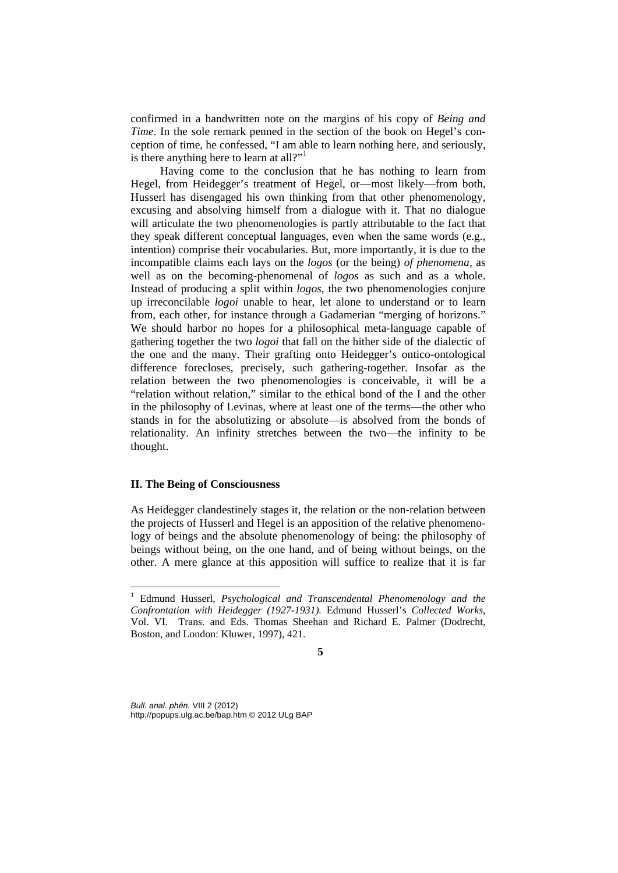confirmed in a handwritten note on the margins of his copy of *Being and Time*. In the sole remark penned in the section of the book on Hegel's conception of time, he confessed, "I am able to learn nothing here, and seriously, is there anything here to learn at all?"<sup>[1](#page-4-0)</sup>

Having come to the conclusion that he has nothing to learn from Hegel, from Heidegger's treatment of Hegel, or—most likely—from both, Husserl has disengaged his own thinking from that other phenomenology, excusing and absolving himself from a dialogue with it. That no dialogue will articulate the two phenomenologies is partly attributable to the fact that they speak different conceptual languages, even when the same words (e.g., intention) comprise their vocabularies. But, more importantly, it is due to the incompatible claims each lays on the *logos* (or the being) *of phenomena*, as well as on the becoming-phenomenal of *logos* as such and as a whole. Instead of producing a split within *logos*, the two phenomenologies conjure up irreconcilable *logoi* unable to hear, let alone to understand or to learn from, each other, for instance through a Gadamerian "merging of horizons." We should harbor no hopes for a philosophical meta-language capable of gathering together the two *logoi* that fall on the hither side of the dialectic of the one and the many. Their grafting onto Heidegger's ontico-ontological difference forecloses, precisely, such gathering-together. Insofar as the relation between the two phenomenologies is conceivable, it will be a "relation without relation," similar to the ethical bond of the I and the other in the philosophy of Levinas, where at least one of the terms—the other who stands in for the absolutizing or absolute—is absolved from the bonds of relationality. An infinity stretches between the two—the infinity to be thought.

## **II. The Being of Consciousness**

1

As Heidegger clandestinely stages it, the relation or the non-relation between the projects of Husserl and Hegel is an apposition of the relative phenomenology of beings and the absolute phenomenology of being: the philosophy of beings without being, on the one hand, and of being without beings, on the other. A mere glance at this apposition will suffice to realize that it is far

<span id="page-4-0"></span><sup>&</sup>lt;sup>1</sup> Edmund Husserl, *Psychological and Transcendental Phenomenology and the Confrontation with Heidegger (1927-1931).* Edmund Husserl's *Collected Works*, Vol. VI. Trans. and Eds. Thomas Sheehan and Richard E. Palmer (Dodrecht, Boston, and London: Kluwer, 1997), 421.

**<sup>5</sup>**

*Bull. anal. phén.* VIII 2 (2012) http://popups.ulg.ac.be/bap.htm © 2012 ULg BAP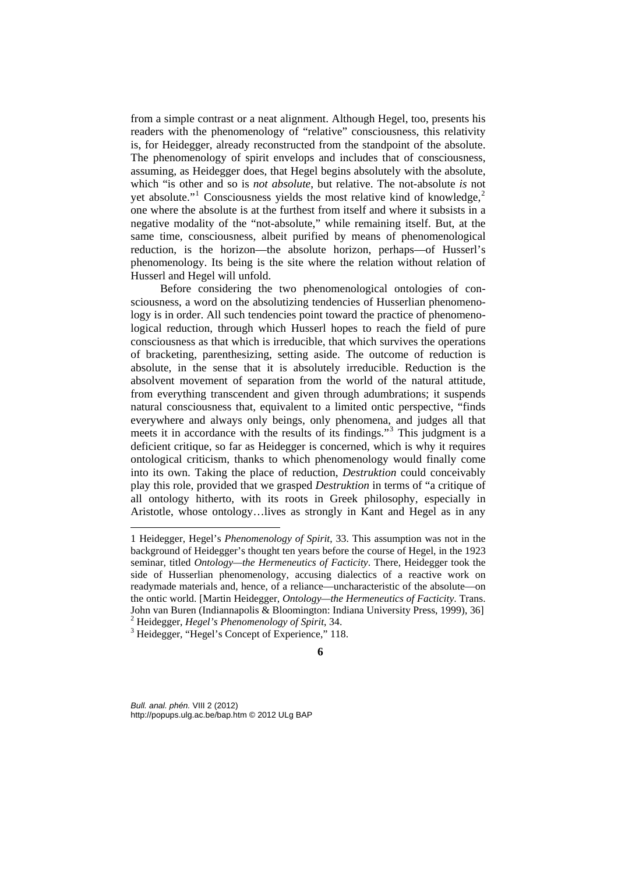from a simple contrast or a neat alignment. Although Hegel, too, presents his readers with the phenomenology of "relative" consciousness, this relativity is, for Heidegger, already reconstructed from the standpoint of the absolute. The phenomenology of spirit envelops and includes that of consciousness, assuming, as Heidegger does, that Hegel begins absolutely with the absolute, which "is other and so is *not absolute*, but relative. The not-absolute *is* not yet absolute."<sup>[1](#page-5-0)</sup> Consciousness yields the most relative kind of knowledge,<sup>[2](#page-5-1)</sup> one where the absolute is at the furthest from itself and where it subsists in a negative modality of the "not-absolute," while remaining itself. But, at the same time, consciousness, albeit purified by means of phenomenological reduction, is the horizon—the absolute horizon, perhaps—of Husserl's phenomenology. Its being is the site where the relation without relation of Husserl and Hegel will unfold.

Before considering the two phenomenological ontologies of consciousness, a word on the absolutizing tendencies of Husserlian phenomenology is in order. All such tendencies point toward the practice of phenomenological reduction, through which Husserl hopes to reach the field of pure consciousness as that which is irreducible, that which survives the operations of bracketing, parenthesizing, setting aside. The outcome of reduction is absolute, in the sense that it is absolutely irreducible. Reduction is the absolvent movement of separation from the world of the natural attitude, from everything transcendent and given through adumbrations; it suspends natural consciousness that, equivalent to a limited ontic perspective, "finds everywhere and always only beings, only phenomena, and judges all that meets it in accordance with the results of its findings."[3](#page-5-2) This judgment is a deficient critique, so far as Heidegger is concerned, which is why it requires ontological criticism, thanks to which phenomenology would finally come into its own. Taking the place of reduction, *Destruktion* could conceivably play this role, provided that we grasped *Destruktion* in terms of "a critique of all ontology hitherto, with its roots in Greek philosophy, especially in Aristotle, whose ontology…lives as strongly in Kant and Hegel as in any

<span id="page-5-0"></span><sup>1</sup> Heidegger, Hegel's *Phenomenology of Spirit*, 33. This assumption was not in the background of Heidegger's thought ten years before the course of Hegel, in the 1923 seminar, titled *Ontology—the Hermeneutics of Facticity*. There, Heidegger took the side of Husserlian phenomenology, accusing dialectics of a reactive work on readymade materials and, hence, of a reliance—uncharacteristic of the absolute—on the ontic world. [Martin Heidegger, *Ontology—the Hermeneutics of Facticity*. Trans. John van Buren (Indiannapolis & Bloomington: Indiana University Press, 1999), 36] <sup>2</sup> Heidegger, *Hegel's Phenomenology of Spirit*, 34.<br><sup>3</sup> Heidegger, "Hegel's Concent of Euneriance," 118

<span id="page-5-2"></span><span id="page-5-1"></span><sup>&</sup>lt;sup>3</sup> Heidegger, "Hegel's Concept of Experience," 118.

**<sup>6</sup>**

*Bull. anal. phén.* VIII 2 (2012) http://popups.ulg.ac.be/bap.htm © 2012 ULg BAP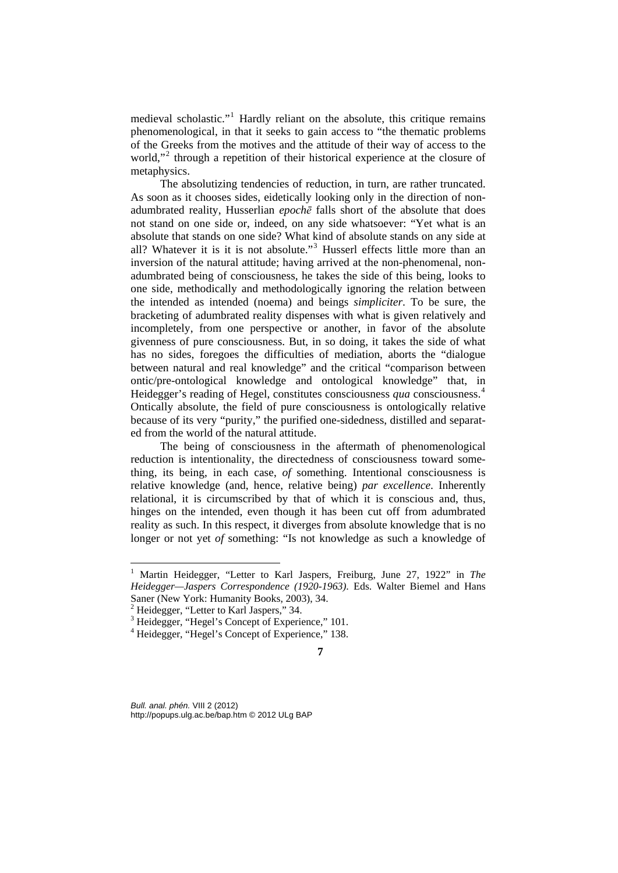medieval scholastic."<sup>[1](#page-6-0)</sup> Hardly reliant on the absolute, this critique remains phenomenological, in that it seeks to gain access to "the thematic problems of the Greeks from the motives and the attitude of their way of access to the world,"<sup>[2](#page-6-1)</sup> through a repetition of their historical experience at the closure of metaphysics.

The absolutizing tendencies of reduction, in turn, are rather truncated. As soon as it chooses sides, eidetically looking only in the direction of nonadumbrated reality, Husserlian *epochē* falls short of the absolute that does not stand on one side or, indeed, on any side whatsoever: "Yet what is an absolute that stands on one side? What kind of absolute stands on any side at all? Whatever it is it is not absolute."[3](#page-6-2) Husserl effects little more than an inversion of the natural attitude; having arrived at the non-phenomenal, nonadumbrated being of consciousness, he takes the side of this being, looks to one side, methodically and methodologically ignoring the relation between the intended as intended (noema) and beings *simpliciter*. To be sure, the bracketing of adumbrated reality dispenses with what is given relatively and incompletely, from one perspective or another, in favor of the absolute givenness of pure consciousness. But, in so doing, it takes the side of what has no sides, foregoes the difficulties of mediation, aborts the "dialogue between natural and real knowledge" and the critical "comparison between ontic/pre-ontological knowledge and ontological knowledge" that, in Heidegger's reading of Hegel, constitutes consciousness *qua* consciousness.[4](#page-6-3) Ontically absolute, the field of pure consciousness is ontologically relative because of its very "purity," the purified one-sidedness, distilled and separated from the world of the natural attitude.

The being of consciousness in the aftermath of phenomenological reduction is intentionality, the directedness of consciousness toward something, its being, in each case, *of* something. Intentional consciousness is relative knowledge (and, hence, relative being) *par excellence*. Inherently relational, it is circumscribed by that of which it is conscious and, thus, hinges on the intended, even though it has been cut off from adumbrated reality as such. In this respect, it diverges from absolute knowledge that is no longer or not yet *of* something: "Is not knowledge as such a knowledge of

<span id="page-6-0"></span> $\frac{1}{1}$  Martin Heidegger, "Letter to Karl Jaspers, Freiburg, June 27, 1922" in *The Heidegger—Jaspers Correspondence (1920-1963)*. Eds. Walter Biemel and Hans Saner (New York: Humanity Books, 2003), 34.

<span id="page-6-2"></span><span id="page-6-1"></span><sup>&</sup>lt;sup>2</sup> Heidegger, "Letter to Karl Jaspers," 34.

<span id="page-6-3"></span><sup>&</sup>lt;sup>3</sup> Heidegger, "Hegel's Concept of Experience," 101.<br><sup>4</sup> Heidegger, "Hegel's Concept of Experience," 138.

**<sup>7</sup>**

*Bull. anal. phén.* VIII 2 (2012) http://popups.ulg.ac.be/bap.htm © 2012 ULg BAP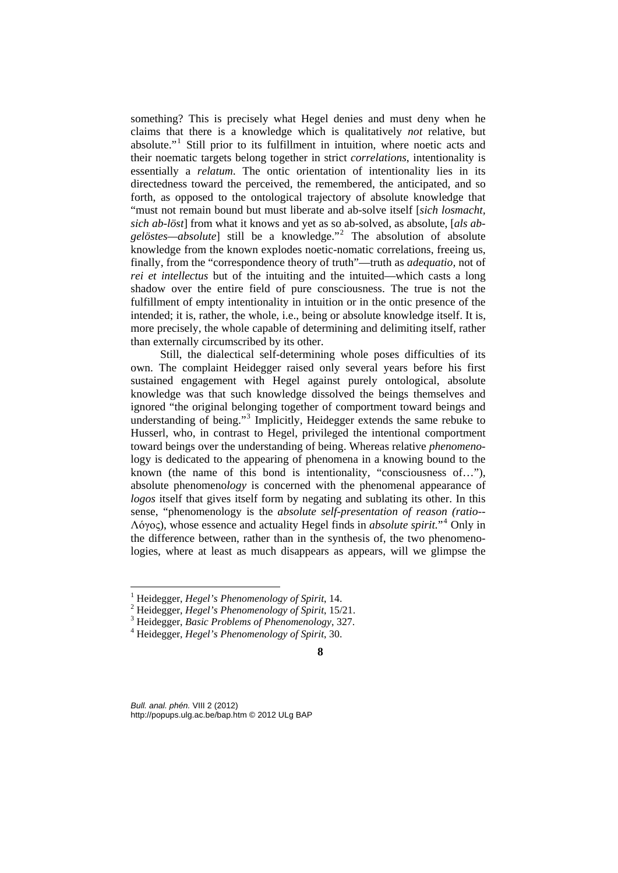something? This is precisely what Hegel denies and must deny when he claims that there is a knowledge which is qualitatively *not* relative, but absolute."<sup>[1](#page-7-0)</sup> Still prior to its fulfillment in intuition, where noetic acts and their noematic targets belong together in strict *correlations*, intentionality is essentially a *relatum*. The ontic orientation of intentionality lies in its directedness toward the perceived, the remembered, the anticipated, and so forth, as opposed to the ontological trajectory of absolute knowledge that "must not remain bound but must liberate and ab-solve itself [*sich losmacht, sich ab-löst*] from what it knows and yet as so ab-solved, as absolute, [*als abgelöstes—absolute*] still be a knowledge."[2](#page-7-1) The absolution of absolute knowledge from the known explodes noetic-nomatic correlations, freeing us, finally, from the "correspondence theory of truth"—truth as *adequatio,* not of *rei et intellectus* but of the intuiting and the intuited—which casts a long shadow over the entire field of pure consciousness. The true is not the fulfillment of empty intentionality in intuition or in the ontic presence of the intended; it is, rather, the whole, i.e., being or absolute knowledge itself. It is, more precisely, the whole capable of determining and delimiting itself, rather than externally circumscribed by its other.

Still, the dialectical self-determining whole poses difficulties of its own. The complaint Heidegger raised only several years before his first sustained engagement with Hegel against purely ontological, absolute knowledge was that such knowledge dissolved the beings themselves and ignored "the original belonging together of comportment toward beings and understanding of being."<sup>[3](#page-7-2)</sup> Implicitly, Heidegger extends the same rebuke to Husserl, who, in contrast to Hegel, privileged the intentional comportment toward beings over the understanding of being. Whereas relative *phenomeno*logy is dedicated to the appearing of phenomena in a knowing bound to the known (the name of this bond is intentionality, "consciousness of…"), absolute phenomeno*logy* is concerned with the phenomenal appearance of *logos* itself that gives itself form by negating and sublating its other. In this sense, "phenomenology is the *absolute self-presentation of reason (ratio--* Λόγος), whose essence and actuality Hegel finds in *absolute spirit.*"[4](#page-7-3) Only in the difference between, rather than in the synthesis of, the two phenomenologies, where at least as much disappears as appears, will we glimpse the

1

<sup>&</sup>lt;sup>1</sup> Heidegger, *Hegel's Phenomenology of Spirit*, 14.<br><sup>2</sup> Heidegger, *Hegel's Phenomenology of Spirit*, 15<sup>*P*</sup>

<span id="page-7-1"></span><span id="page-7-0"></span>Heidegger, *Hegel's Phenomenology of Spirit*, 15/21. 3

<span id="page-7-2"></span>Heidegger, *Basic Problems of Phenomenology*, 327. 4

<span id="page-7-3"></span>Heidegger, *Hegel's Phenomenology of Spirit*, 30.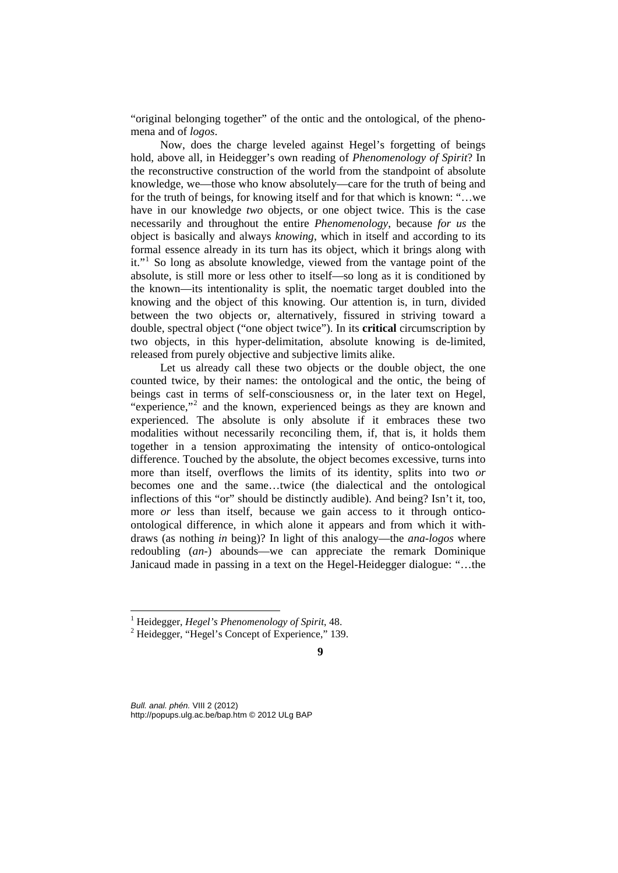"original belonging together" of the ontic and the ontological, of the phenomena and of *logos*.

Now, does the charge leveled against Hegel's forgetting of beings hold, above all, in Heidegger's own reading of *Phenomenology of Spirit*? In the reconstructive construction of the world from the standpoint of absolute knowledge, we—those who know absolutely—care for the truth of being and for the truth of beings, for knowing itself and for that which is known: "…we have in our knowledge *two* objects, or one object twice. This is the case necessarily and throughout the entire *Phenomenology*, because *for us* the object is basically and always *knowing*, which in itself and according to its formal essence already in its turn has its object, which it brings along with it."<sup>[1](#page-8-0)</sup> So long as absolute knowledge, viewed from the vantage point of the absolute, is still more or less other to itself—so long as it is conditioned by the known—its intentionality is split, the noematic target doubled into the knowing and the object of this knowing. Our attention is, in turn, divided between the two objects or, alternatively, fissured in striving toward a double, spectral object ("one object twice"). In its **critical** circumscription by two objects, in this hyper-delimitation, absolute knowing is de-limited, released from purely objective and subjective limits alike.

Let us already call these two objects or the double object, the one counted twice, by their names: the ontological and the ontic, the being of beings cast in terms of self-consciousness or, in the later text on Hegel, "experience,"<sup>[2](#page-8-1)</sup> and the known, experienced beings as they are known and experienced. The absolute is only absolute if it embraces these two modalities without necessarily reconciling them, if, that is, it holds them together in a tension approximating the intensity of ontico-ontological difference. Touched by the absolute, the object becomes excessive, turns into more than itself, overflows the limits of its identity, splits into two *or* becomes one and the same…twice (the dialectical and the ontological inflections of this "or" should be distinctly audible). And being? Isn't it, too, more *or* less than itself, because we gain access to it through onticoontological difference, in which alone it appears and from which it withdraws (as nothing *in* being)? In light of this analogy—the *ana-logos* where redoubling (*an-*) abounds—we can appreciate the remark Dominique Janicaud made in passing in a text on the Hegel-Heidegger dialogue: "…the

-

**9**

*Bull. anal. phén.* VIII 2 (2012) http://popups.ulg.ac.be/bap.htm © 2012 ULg BAP

<span id="page-8-0"></span><sup>&</sup>lt;sup>1</sup> Heidegger, *Hegel's Phenomenology of Spirit*, 48.<br><sup>2</sup> Heidegger, "Hegel's Concent of Euneriance," 120

<span id="page-8-1"></span><sup>&</sup>lt;sup>2</sup> Heidegger, "Hegel's Concept of Experience," 139.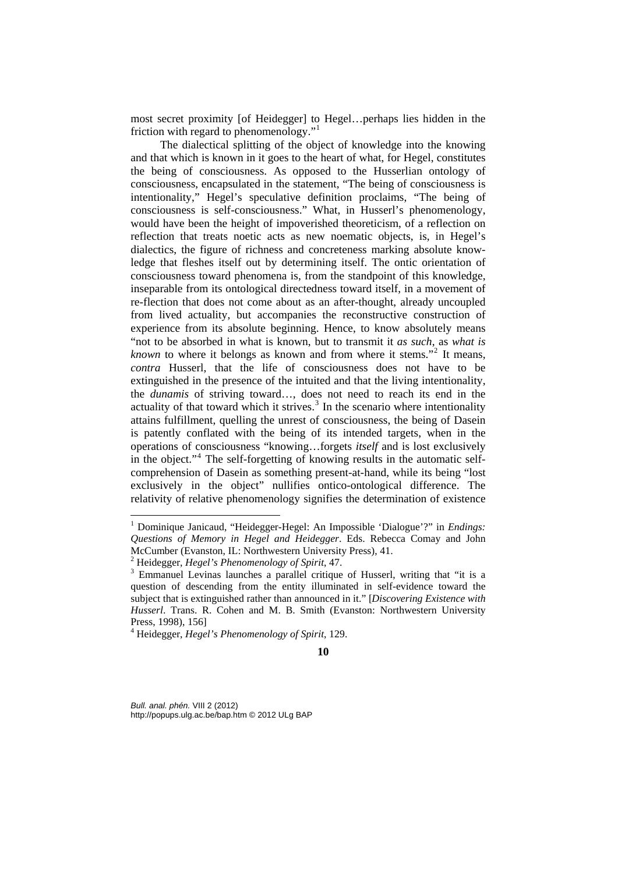most secret proximity [of Heidegger] to Hegel…perhaps lies hidden in the friction with regard to phenomenology."[1](#page-9-0)

The dialectical splitting of the object of knowledge into the knowing and that which is known in it goes to the heart of what, for Hegel, constitutes the being of consciousness. As opposed to the Husserlian ontology of consciousness, encapsulated in the statement, "The being of consciousness is intentionality," Hegel's speculative definition proclaims, "The being of consciousness is self-consciousness." What, in Husserl's phenomenology, would have been the height of impoverished theoreticism, of a reflection on reflection that treats noetic acts as new noematic objects, is, in Hegel's dialectics, the figure of richness and concreteness marking absolute knowledge that fleshes itself out by determining itself. The ontic orientation of consciousness toward phenomena is, from the standpoint of this knowledge, inseparable from its ontological directedness toward itself, in a movement of re-flection that does not come about as an after-thought, already uncoupled from lived actuality, but accompanies the reconstructive construction of experience from its absolute beginning. Hence, to know absolutely means "not to be absorbed in what is known, but to transmit it *as such*, as *what is*  known to where it belongs as known and from where it stems."<sup>[2](#page-9-1)</sup> It means, *contra* Husserl, that the life of consciousness does not have to be extinguished in the presence of the intuited and that the living intentionality, the *dunamis* of striving toward…, does not need to reach its end in the actuality of that toward which it strives. $3$  In the scenario where intentionality attains fulfillment, quelling the unrest of consciousness, the being of Dasein is patently conflated with the being of its intended targets, when in the operations of consciousness "knowing…forgets *itself* and is lost exclusively in the object."<sup>[4](#page-9-3)</sup> The self-forgetting of knowing results in the automatic selfcomprehension of Dasein as something present-at-hand, while its being "lost exclusively in the object" nullifies ontico-ontological difference. The relativity of relative phenomenology signifies the determination of existence

<span id="page-9-0"></span><sup>&</sup>lt;sup>1</sup> Dominique Janicaud, "Heidegger-Hegel: An Impossible 'Dialogue'?" in *Endings*: *Questions of Memory in Hegel and Heidegger*. Eds. Rebecca Comay and John McCumber (Evanston, IL: Northwestern University Press), 41.

<sup>&</sup>lt;sup>2</sup> Heidegger, *Hegel's Phenomenology of Spirit*, 47.

<span id="page-9-2"></span><span id="page-9-1"></span><sup>&</sup>lt;sup>3</sup> Emmanuel Levinas launches a parallel critique of Husserl, writing that "it is a question of descending from the entity illuminated in self-evidence toward the subject that is extinguished rather than announced in it." [*Discovering Existence with Husserl*. Trans. R. Cohen and M. B. Smith (Evanston: Northwestern University Press, 1998), 156]

<span id="page-9-3"></span><sup>4</sup> Heidegger, *Hegel's Phenomenology of Spirit*, 129.

**<sup>10</sup>**

*Bull. anal. phén.* VIII 2 (2012) http://popups.ulg.ac.be/bap.htm © 2012 ULg BAP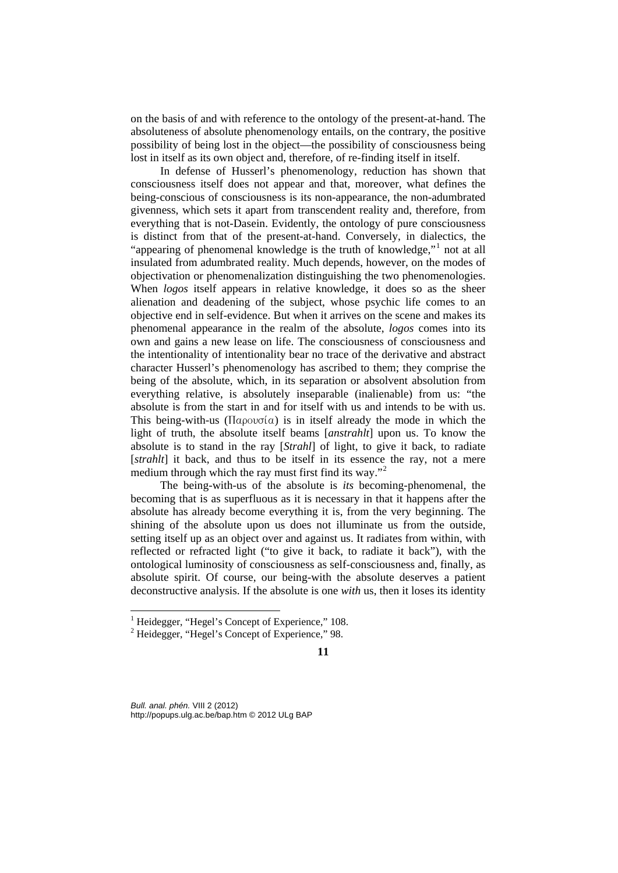on the basis of and with reference to the ontology of the present-at-hand. The absoluteness of absolute phenomenology entails, on the contrary, the positive possibility of being lost in the object—the possibility of consciousness being lost in itself as its own object and, therefore, of re-finding itself in itself.

In defense of Husserl's phenomenology, reduction has shown that consciousness itself does not appear and that, moreover, what defines the being-conscious of consciousness is its non-appearance, the non-adumbrated givenness, which sets it apart from transcendent reality and, therefore, from everything that is not-Dasein. Evidently, the ontology of pure consciousness is distinct from that of the present-at-hand. Conversely, in dialectics, the "appearing of phenomenal knowledge is the truth of knowledge,"<sup>[1](#page-10-0)</sup> not at all insulated from adumbrated reality. Much depends, however, on the modes of objectivation or phenomenalization distinguishing the two phenomenologies. When *logos* itself appears in relative knowledge, it does so as the sheer alienation and deadening of the subject, whose psychic life comes to an objective end in self-evidence. But when it arrives on the scene and makes its phenomenal appearance in the realm of the absolute, *logos* comes into its own and gains a new lease on life. The consciousness of consciousness and the intentionality of intentionality bear no trace of the derivative and abstract character Husserl's phenomenology has ascribed to them; they comprise the being of the absolute, which, in its separation or absolvent absolution from everything relative, is absolutely inseparable (inalienable) from us: "the absolute is from the start in and for itself with us and intends to be with us. This being-with-us ( $\Pi$ a $\rho$ ovo $\sigma$ ( $\alpha$ ) is in itself already the mode in which the light of truth, the absolute itself beams [*anstrahlt*] upon us. To know the absolute is to stand in the ray [*Strahl*] of light, to give it back, to radiate [*strahlt*] it back, and thus to be itself in its essence the ray, not a mere medium through which the ray must first find its way."<sup>[2](#page-10-1)</sup>

The being-with-us of the absolute is *its* becoming-phenomenal, the becoming that is as superfluous as it is necessary in that it happens after the absolute has already become everything it is, from the very beginning. The shining of the absolute upon us does not illuminate us from the outside, setting itself up as an object over and against us. It radiates from within, with reflected or refracted light ("to give it back, to radiate it back"), with the ontological luminosity of consciousness as self-consciousness and, finally, as absolute spirit. Of course, our being-with the absolute deserves a patient deconstructive analysis. If the absolute is one *with* us, then it loses its identity

-

<span id="page-10-1"></span><span id="page-10-0"></span><sup>&</sup>lt;sup>1</sup> Heidegger, "Hegel's Concept of Experience," 108.

<sup>2</sup> Heidegger, "Hegel's Concept of Experience," 98.

*Bull. anal. phén.* VIII 2 (2012) http://popups.ulg.ac.be/bap.htm © 2012 ULg BAP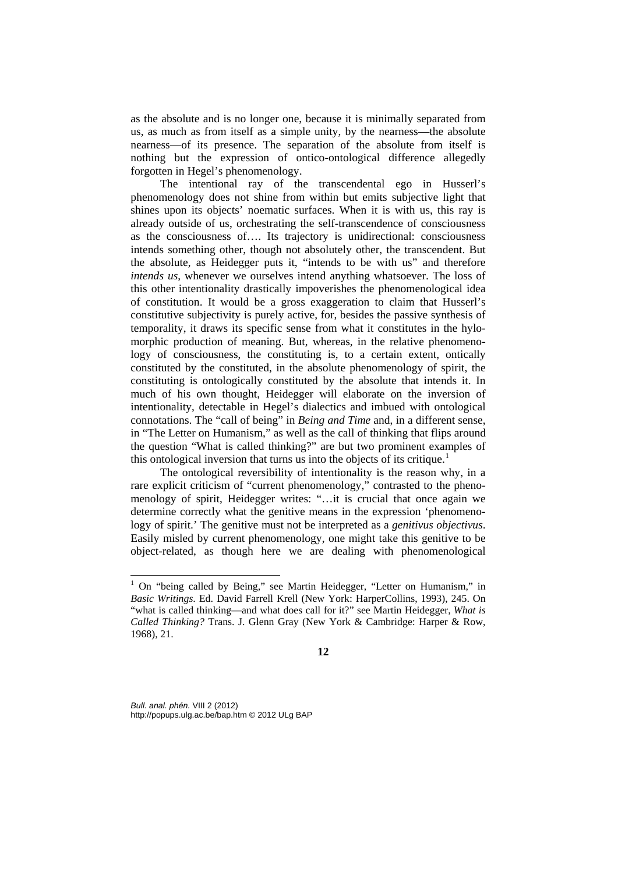as the absolute and is no longer one, because it is minimally separated from us, as much as from itself as a simple unity, by the nearness—the absolute nearness—of its presence. The separation of the absolute from itself is nothing but the expression of ontico-ontological difference allegedly forgotten in Hegel's phenomenology.

The intentional ray of the transcendental ego in Husserl's phenomenology does not shine from within but emits subjective light that shines upon its objects' noematic surfaces. When it is with us, this ray is already outside of us, orchestrating the self-transcendence of consciousness as the consciousness of…. Its trajectory is unidirectional: consciousness intends something other, though not absolutely other, the transcendent. But the absolute, as Heidegger puts it, "intends to be with us" and therefore *intends us*, whenever we ourselves intend anything whatsoever. The loss of this other intentionality drastically impoverishes the phenomenological idea of constitution. It would be a gross exaggeration to claim that Husserl's constitutive subjectivity is purely active, for, besides the passive synthesis of temporality, it draws its specific sense from what it constitutes in the hylomorphic production of meaning. But, whereas, in the relative phenomenology of consciousness, the constituting is, to a certain extent, ontically constituted by the constituted, in the absolute phenomenology of spirit, the constituting is ontologically constituted by the absolute that intends it. In much of his own thought, Heidegger will elaborate on the inversion of intentionality, detectable in Hegel's dialectics and imbued with ontological connotations. The "call of being" in *Being and Time* and, in a different sense, in "The Letter on Humanism," as well as the call of thinking that flips around the question "What is called thinking?" are but two prominent examples of this ontological inversion that turns us into the objects of its critique.<sup>[1](#page-11-0)</sup>

The ontological reversibility of intentionality is the reason why, in a rare explicit criticism of "current phenomenology," contrasted to the phenomenology of spirit, Heidegger writes: "…it is crucial that once again we determine correctly what the genitive means in the expression 'phenomenology of spirit.' The genitive must not be interpreted as a *genitivus objectivus*. Easily misled by current phenomenology, one might take this genitive to be object-related, as though here we are dealing with phenomenological

**12**

*Bull. anal. phén.* VIII 2 (2012) http://popups.ulg.ac.be/bap.htm © 2012 ULg BAP

-

<span id="page-11-0"></span><sup>&</sup>lt;sup>1</sup> On "being called by Being," see Martin Heidegger, "Letter on Humanism," in *Basic Writings*. Ed. David Farrell Krell (New York: HarperCollins, 1993), 245. On "what is called thinking—and what does call for it?" see Martin Heidegger, *What is Called Thinking?* Trans. J. Glenn Gray (New York & Cambridge: Harper & Row, 1968), 21.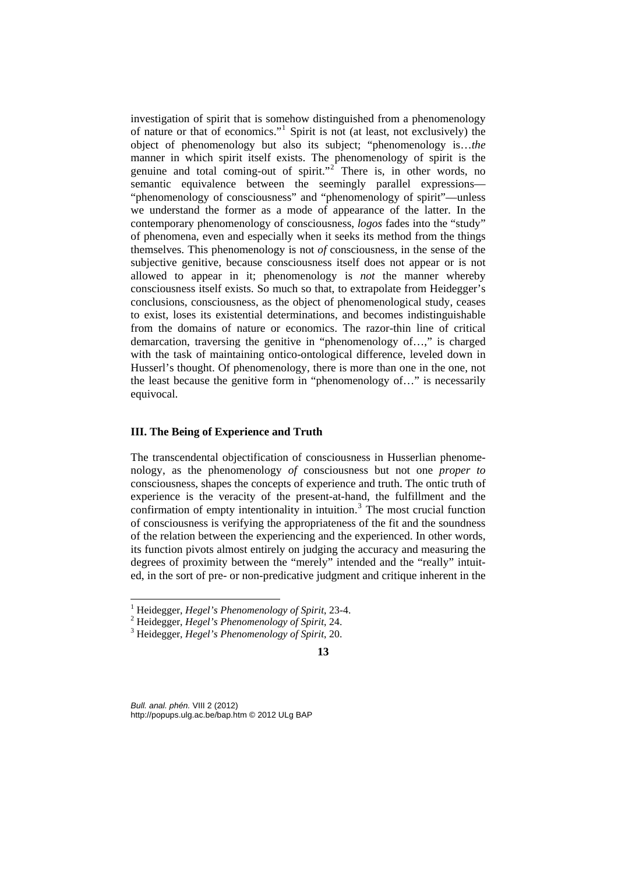investigation of spirit that is somehow distinguished from a phenomenology of nature or that of economics."[1](#page-12-0) Spirit is not (at least, not exclusively) the object of phenomenology but also its subject; "phenomenology is…*the*  manner in which spirit itself exists. The phenomenology of spirit is the genuine and total coming-out of spirit."<sup>[2](#page-12-1)</sup> There is, in other words, no semantic equivalence between the seemingly parallel expressions— "phenomenology of consciousness" and "phenomenology of spirit"—unless we understand the former as a mode of appearance of the latter. In the contemporary phenomenology of consciousness, *logos* fades into the "study" of phenomena, even and especially when it seeks its method from the things themselves. This phenomenology is not *of* consciousness, in the sense of the subjective genitive, because consciousness itself does not appear or is not allowed to appear in it; phenomenology is *not* the manner whereby consciousness itself exists. So much so that, to extrapolate from Heidegger's conclusions, consciousness, as the object of phenomenological study, ceases to exist, loses its existential determinations, and becomes indistinguishable from the domains of nature or economics. The razor-thin line of critical demarcation, traversing the genitive in "phenomenology of…," is charged with the task of maintaining ontico-ontological difference, leveled down in Husserl's thought. Of phenomenology, there is more than one in the one, not the least because the genitive form in "phenomenology of…" is necessarily equivocal.

### **III. The Being of Experience and Truth**

The transcendental objectification of consciousness in Husserlian phenomenology, as the phenomenology *of* consciousness but not one *proper to*  consciousness, shapes the concepts of experience and truth. The ontic truth of experience is the veracity of the present-at-hand, the fulfillment and the confirmation of empty intentionality in intuition.<sup>[3](#page-12-2)</sup> The most crucial function of consciousness is verifying the appropriateness of the fit and the soundness of the relation between the experiencing and the experienced. In other words, its function pivots almost entirely on judging the accuracy and measuring the degrees of proximity between the "merely" intended and the "really" intuited, in the sort of pre- or non-predicative judgment and critique inherent in the

<span id="page-12-0"></span><sup>&</sup>lt;sup>1</sup> Heidegger, *Hegel's Phenomenology of Spirit*, 23-4.

<span id="page-12-1"></span>Heidegger, *Hegel's Phenomenology of Spirit*, 24. 3

<span id="page-12-2"></span>Heidegger, *Hegel's Phenomenology of Spirit*, 20.

**<sup>13</sup>**

*Bull. anal. phén.* VIII 2 (2012) http://popups.ulg.ac.be/bap.htm © 2012 ULg BAP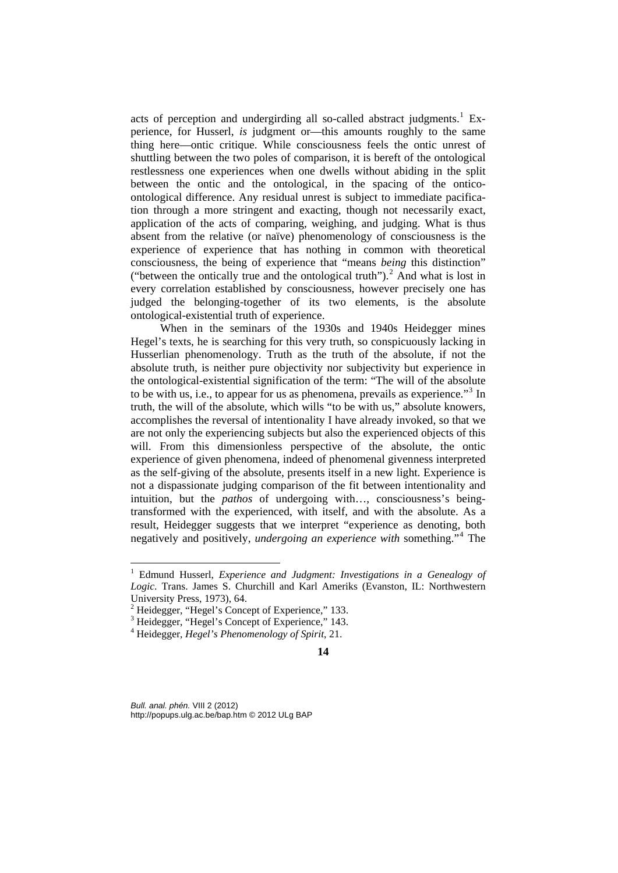acts of perception and undergirding all so-called abstract judgments.<sup>[1](#page-13-0)</sup> Experience, for Husserl, *is* judgment or—this amounts roughly to the same thing here—ontic critique. While consciousness feels the ontic unrest of shuttling between the two poles of comparison, it is bereft of the ontological restlessness one experiences when one dwells without abiding in the split between the ontic and the ontological, in the spacing of the onticoontological difference. Any residual unrest is subject to immediate pacification through a more stringent and exacting, though not necessarily exact, application of the acts of comparing, weighing, and judging. What is thus absent from the relative (or naïve) phenomenology of consciousness is the experience of experience that has nothing in common with theoretical consciousness, the being of experience that "means *being* this distinction" ("between the ontically true and the ontological truth").<sup>[2](#page-13-1)</sup> And what is lost in every correlation established by consciousness, however precisely one has judged the belonging-together of its two elements, is the absolute ontological-existential truth of experience.

When in the seminars of the 1930s and 1940s Heidegger mines Hegel's texts, he is searching for this very truth, so conspicuously lacking in Husserlian phenomenology. Truth as the truth of the absolute, if not the absolute truth, is neither pure objectivity nor subjectivity but experience in the ontological-existential signification of the term: "The will of the absolute to be with us, i.e., to appear for us as phenomena, prevails as experience."<sup>[3](#page-13-2)</sup> In truth, the will of the absolute, which wills "to be with us," absolute knowers, accomplishes the reversal of intentionality I have already invoked, so that we are not only the experiencing subjects but also the experienced objects of this will. From this dimensionless perspective of the absolute, the ontic experience of given phenomena, indeed of phenomenal givenness interpreted as the self-giving of the absolute, presents itself in a new light. Experience is not a dispassionate judging comparison of the fit between intentionality and intuition, but the *pathos* of undergoing with…, consciousness's beingtransformed with the experienced, with itself, and with the absolute. As a result, Heidegger suggests that we interpret "experience as denoting, both negatively and positively, *undergoing an experience with* something."[4](#page-13-3) The

<span id="page-13-0"></span> 1 Edmund Husserl, *Experience and Judgment: Investigations in a Genealogy of Logic*. Trans. James S. Churchill and Karl Ameriks (Evanston, IL: Northwestern University Press, 1973), 64.

<span id="page-13-1"></span><sup>&</sup>lt;sup>2</sup> Heidegger, "Hegel's Concept of Experience," 133.

<span id="page-13-2"></span><sup>&</sup>lt;sup>3</sup> Heidegger, "Hegel's Concept of Experience," 143.

<span id="page-13-3"></span><sup>4</sup> Heidegger, *Hegel's Phenomenology of Spirit*, 21.

**<sup>14</sup>**

*Bull. anal. phén.* VIII 2 (2012) http://popups.ulg.ac.be/bap.htm © 2012 ULg BAP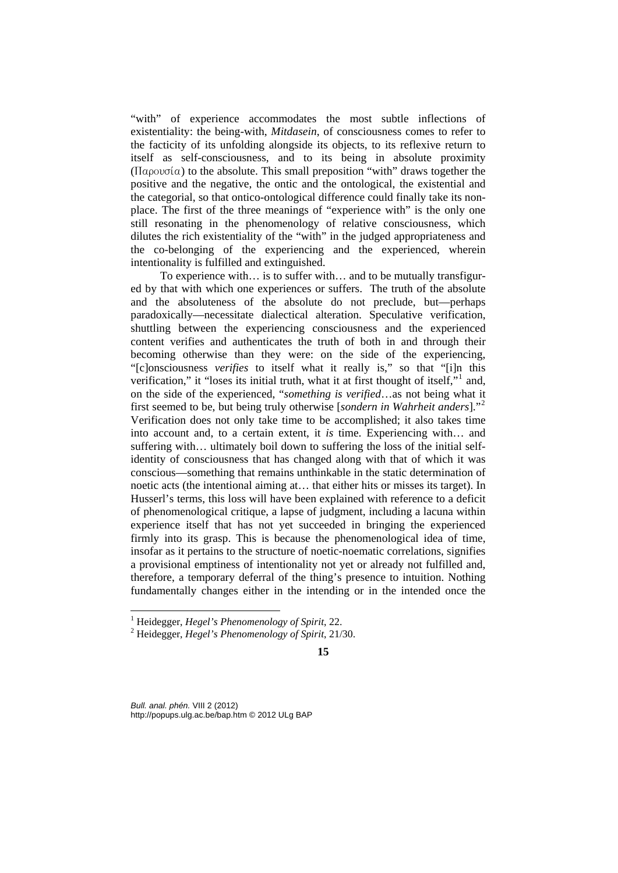"with" of experience accommodates the most subtle inflections of existentiality: the being-with, *Mitdasein*, of consciousness comes to refer to the facticity of its unfolding alongside its objects, to its reflexive return to itself as self-consciousness, and to its being in absolute proximity  $(\Pi \alpha \rho \circ \sigma)$  to the absolute. This small preposition "with" draws together the positive and the negative, the ontic and the ontological, the existential and the categorial, so that ontico-ontological difference could finally take its nonplace. The first of the three meanings of "experience with" is the only one still resonating in the phenomenology of relative consciousness, which dilutes the rich existentiality of the "with" in the judged appropriateness and the co-belonging of the experiencing and the experienced, wherein intentionality is fulfilled and extinguished.

To experience with… is to suffer with… and to be mutually transfigured by that with which one experiences or suffers. The truth of the absolute and the absoluteness of the absolute do not preclude, but—perhaps paradoxically—necessitate dialectical alteration. Speculative verification, shuttling between the experiencing consciousness and the experienced content verifies and authenticates the truth of both in and through their becoming otherwise than they were: on the side of the experiencing, "[c]onsciousness *verifies* to itself what it really is," so that "[i]n this verification," it "loses its initial truth, what it at first thought of itself,"<sup>[1](#page-14-0)</sup> and, on the side of the experienced, "*something is verified*…as not being what it first seemed to be, but being truly otherwise [*sondern in Wahrheit anders*]."[2](#page-14-1) Verification does not only take time to be accomplished; it also takes time into account and, to a certain extent, it *is* time. Experiencing with… and suffering with… ultimately boil down to suffering the loss of the initial selfidentity of consciousness that has changed along with that of which it was conscious—something that remains unthinkable in the static determination of noetic acts (the intentional aiming at… that either hits or misses its target). In Husserl's terms, this loss will have been explained with reference to a deficit of phenomenological critique, a lapse of judgment, including a lacuna within experience itself that has not yet succeeded in bringing the experienced firmly into its grasp. This is because the phenomenological idea of time, insofar as it pertains to the structure of noetic-noematic correlations, signifies a provisional emptiness of intentionality not yet or already not fulfilled and, therefore, a temporary deferral of the thing's presence to intuition. Nothing fundamentally changes either in the intending or in the intended once the

-

**15**

*Bull. anal. phén.* VIII 2 (2012) http://popups.ulg.ac.be/bap.htm © 2012 ULg BAP

<span id="page-14-0"></span><sup>&</sup>lt;sup>1</sup> Heidegger, *Hegel's Phenomenology of Spirit*, 22.<br><sup>2</sup> Heidegger, *Hegel's Phenomenology of Spirit*, 21/2

<span id="page-14-1"></span>Heidegger, *Hegel's Phenomenology of Spirit*, 21/30.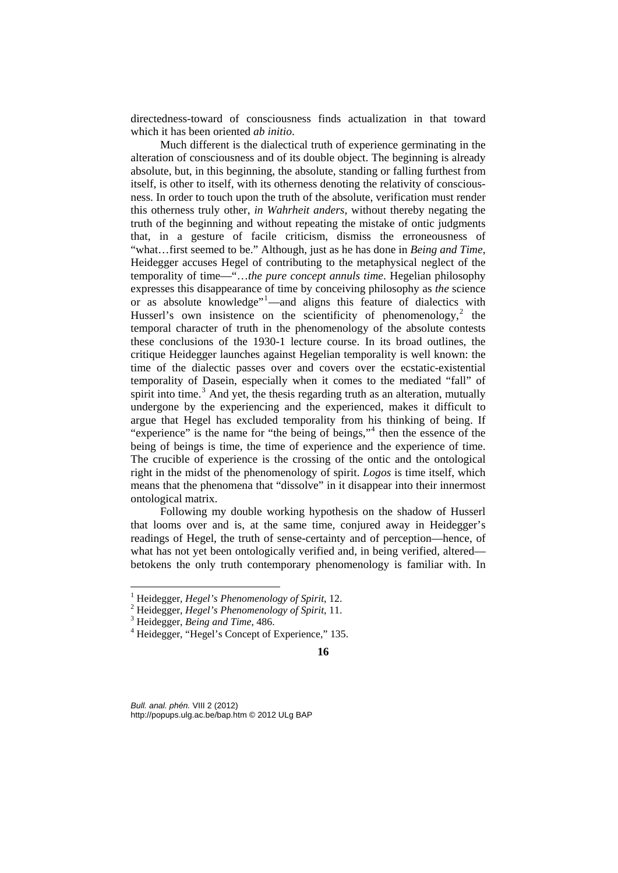directedness-toward of consciousness finds actualization in that toward which it has been oriented *ab initio*.

Much different is the dialectical truth of experience germinating in the alteration of consciousness and of its double object. The beginning is already absolute, but, in this beginning, the absolute, standing or falling furthest from itself, is other to itself, with its otherness denoting the relativity of consciousness. In order to touch upon the truth of the absolute, verification must render this otherness truly other, *in Wahrheit anders*, without thereby negating the truth of the beginning and without repeating the mistake of ontic judgments that, in a gesture of facile criticism, dismiss the erroneousness of "what…first seemed to be." Although, just as he has done in *Being and Time*, Heidegger accuses Hegel of contributing to the metaphysical neglect of the temporality of time—"…*the pure concept annuls time*. Hegelian philosophy expresses this disappearance of time by conceiving philosophy as *the* science or as absolute knowledge"[1](#page-15-0) —and aligns this feature of dialectics with Husserl's own insistence on the scientificity of phenomenology,<sup>[2](#page-15-1)</sup> the temporal character of truth in the phenomenology of the absolute contests these conclusions of the 1930-1 lecture course. In its broad outlines, the critique Heidegger launches against Hegelian temporality is well known: the time of the dialectic passes over and covers over the ecstatic-existential temporality of Dasein, especially when it comes to the mediated "fall" of spirit into time. $3$  And yet, the thesis regarding truth as an alteration, mutually undergone by the experiencing and the experienced, makes it difficult to argue that Hegel has excluded temporality from his thinking of being. If "experience" is the name for "the being of beings,"<sup>[4](#page-15-3)</sup> then the essence of the being of beings is time, the time of experience and the experience of time. The crucible of experience is the crossing of the ontic and the ontological right in the midst of the phenomenology of spirit. *Logos* is time itself, which means that the phenomena that "dissolve" in it disappear into their innermost ontological matrix.

Following my double working hypothesis on the shadow of Husserl that looms over and is, at the same time, conjured away in Heidegger's readings of Hegel, the truth of sense-certainty and of perception—hence, of what has not yet been ontologically verified and, in being verified, altered betokens the only truth contemporary phenomenology is familiar with. In

<span id="page-15-0"></span><sup>&</sup>lt;sup>1</sup> Heidegger, *Hegel's Phenomenology of Spirit*, 12.<br><sup>2</sup> Heidegger, *Hegel's Phenomenology of Spirit*, 11.

<span id="page-15-1"></span>Heidegger, *Hegel's Phenomenology of Spirit*, 11. 3

<span id="page-15-2"></span><sup>&</sup>lt;sup>3</sup> Heidegger, *Being and Time*, 486.

<span id="page-15-3"></span><sup>&</sup>lt;sup>4</sup> Heidegger, "Hegel's Concept of Experience," 135.

**<sup>16</sup>**

*Bull. anal. phén.* VIII 2 (2012) http://popups.ulg.ac.be/bap.htm © 2012 ULg BAP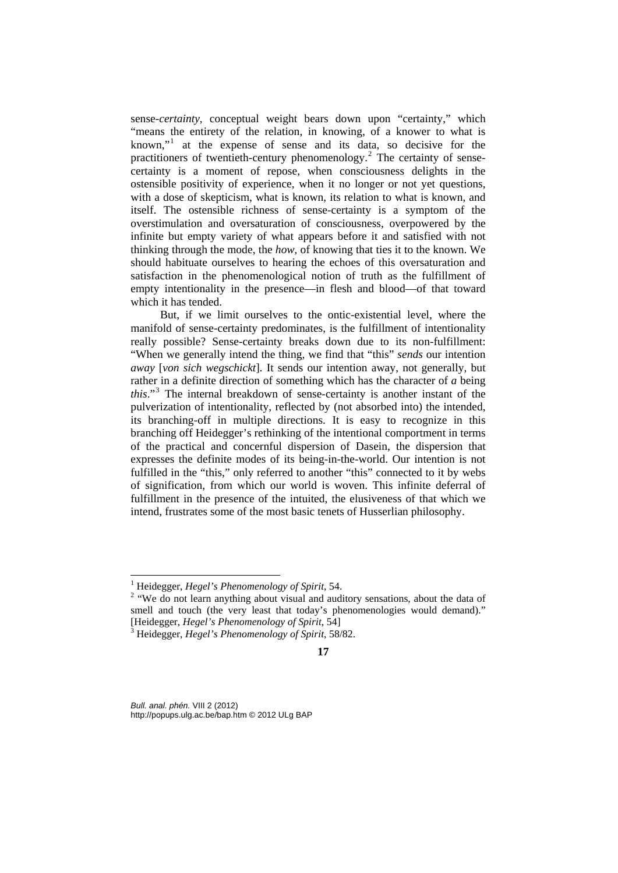sense-*certainty*, conceptual weight bears down upon "certainty," which "means the entirety of the relation, in knowing, of a knower to what is known,"<sup>[1](#page-16-0)</sup> at the expense of sense and its data, so decisive for the practitioners of twentieth-century phenomenology.<sup>[2](#page-16-1)</sup> The certainty of sensecertainty is a moment of repose, when consciousness delights in the ostensible positivity of experience, when it no longer or not yet questions, with a dose of skepticism, what is known, its relation to what is known, and itself. The ostensible richness of sense-certainty is a symptom of the overstimulation and oversaturation of consciousness, overpowered by the infinite but empty variety of what appears before it and satisfied with not thinking through the mode, the *how*, of knowing that ties it to the known. We should habituate ourselves to hearing the echoes of this oversaturation and satisfaction in the phenomenological notion of truth as the fulfillment of empty intentionality in the presence—in flesh and blood—of that toward which it has tended.

fulfillment in the presence of the intuited, the elusiveness of that which we intend , frustrates some of the most basic tenets of Husserlian philosophy. But, if we limit ourselves to the ontic-existential level, where the manifold of sense-certainty predominates, is the fulfillment of intentionality really possible? Sense-certainty breaks down due to its non-fulfillment: "When we generally intend the thing, we find that "this" *sends* our intention *away* [*von sich wegschickt*]. It sends our intention away, not generally, but rather in a definite direction of something which has the character of *a* being *this*."[3](#page-16-2) The internal breakdown of sense-certainty is another instant of the pulverization of intentionality, reflected by (not absorbed into) the intended, its branching-off in multiple directions. It is easy to recognize in this branching off Heidegger's rethinking of the intentional comportment in terms of the practical and concernful dispersion of Dasein, the dispersion that expresses the definite modes of its being-in-the-world. Our intention is not fulfilled in the "this," only referred to another "this" connected to it by webs of signification, from which our world is woven. This infinite deferral of

<span id="page-16-0"></span>-

<sup>&</sup>lt;sup>1</sup> Heidegger, *Hegel's Phenomenology of Spirit*, 54.

<span id="page-16-1"></span><sup>&</sup>lt;sup>1</sup> Heidegger, *Hegel's Phenomenology of Spirit*, 54.<br><sup>2</sup> "We do not learn anything about visual and auditory sensations, about the data of smell and touch (the very least that today's phenomenologies would demand)." [Heidegger, *Hegel's Phenomenology of Spirit*, 54]

<span id="page-16-2"></span>Heidegger, *Hegel's Phenomenology of Spirit*, 58/82.

*Bull. anal. phén.* VIII 2 (2012) http://popups.ulg.ac.be/bap.htm © 2012 ULg BAP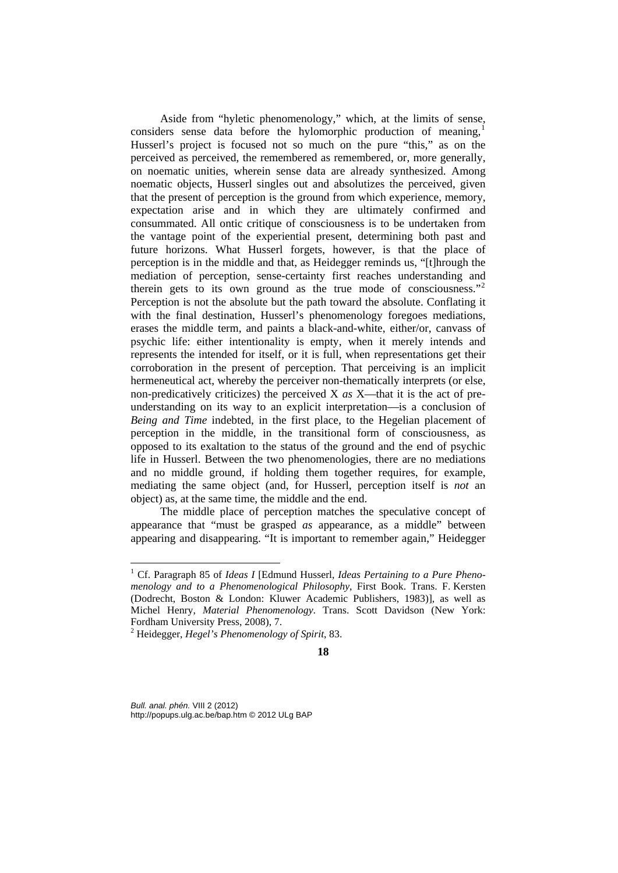Aside from "hyletic phenomenology," which, at the limits of sense, considers sense data before the hylomorphic production of meaning,<sup>[1](#page-17-0)</sup> Husserl's project is focused not so much on the pure "this," as on the perceived as perceived, the remembered as remembered, or, more generally, on noematic unities, wherein sense data are already synthesized. Among noematic objects, Husserl singles out and absolutizes the perceived, given that the present of perception is the ground from which experience, memory, expectation arise and in which they are ultimately confirmed and consummated. All ontic critique of consciousness is to be undertaken from the vantage point of the experiential present, determining both past and future horizons. What Husserl forgets, however, is that the place of perception is in the middle and that, as Heidegger reminds us, "[t]hrough the mediation of perception, sense-certainty first reaches understanding and therein gets to its own ground as the true mode of consciousness."<sup>[2](#page-17-1)</sup> Perception is not the absolute but the path toward the absolute. Conflating it with the final destination, Husserl's phenomenology foregoes mediations, erases the middle term, and paints a black-and-white, either/or, canvass of psychic life: either intentionality is empty, when it merely intends and represents the intended for itself, or it is full, when representations get their corroboration in the present of perception. That perceiving is an implicit hermeneutical act, whereby the perceiver non-thematically interprets (or else, non-predicatively criticizes) the perceived X *as* X—that it is the act of preunderstanding on its way to an explicit interpretation—is a conclusion of *Being and Time* indebted, in the first place, to the Hegelian placement of perception in the middle, in the transitional form of consciousness, as opposed to its exaltation to the status of the ground and the end of psychic life in Husserl. Between the two phenomenologies, there are no mediations and no middle ground, if holding them together requires, for example, mediating the same object (and, for Husserl, perception itself is *not* an object) as, at the same time, the middle and the end.

The middle place of perception matches the speculative concept of appearance that "must be grasped *as* appearance, as a middle" between appearing and disappearing. "It is important to remember again," Heidegger

<span id="page-17-0"></span> 1 Cf. Paragraph 85 of *Ideas I* [Edmund Husserl, *Ideas Pertaining to a Pure Phenomenology and to a Phenomenological Philosophy*, First Book. Trans. F. Kersten Michel Henry, *Material Phenomenology*. Trans. Scott Davidson (New York: (Dodrecht, Boston & London: Kluwer Academic Publishers, 1983)], as well as Fordham University Press, 2008), 7.

<span id="page-17-1"></span><sup>2</sup> Heidegger, *Hegel's Phenomenology of Spirit*, 83.

**<sup>18</sup>**

*Bull. anal. phén.* VIII 2 (2012) http://popups.ulg.ac.be/bap.htm © 2012 ULg BAP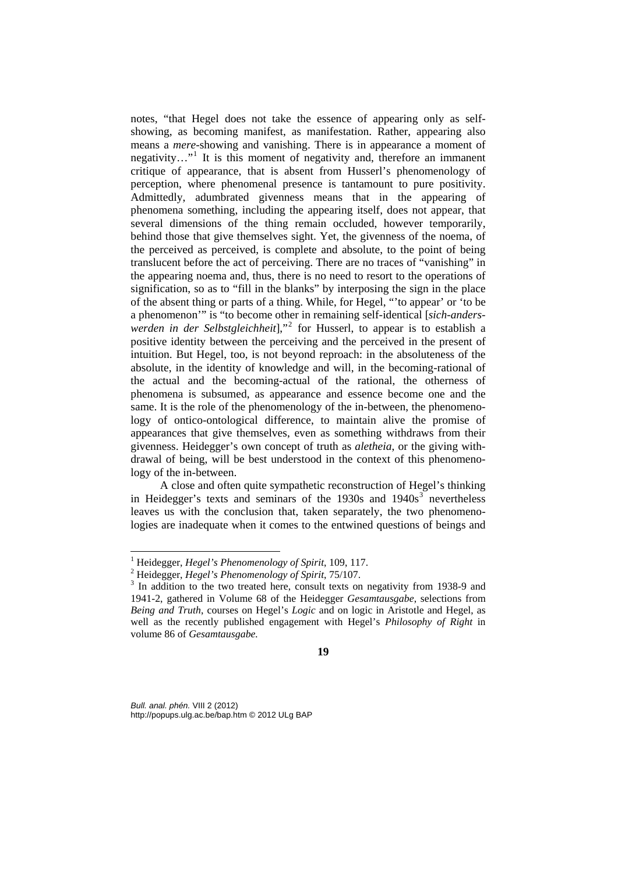notes, "that Hegel does not take the essence of appearing only as selfshowing, as becoming manifest, as manifestation. Rather, appearing also means a *mere*-showing and vanishing. There is in appearance a moment of negativity..."<sup>[1](#page-18-0)</sup> It is this moment of negativity and, therefore an immanent critique of appearance, that is absent from Husserl's phenomenology of perception, where phenomenal presence is tantamount to pure positivity. Admittedly, adumbrated givenness means that in the appearing of phenomena something, including the appearing itself, does not appear, that several dimensions of the thing remain occluded, however temporarily, behind those that give themselves sight. Yet, the givenness of the noema, of the perceived as perceived, is complete and absolute, to the point of being translucent before the act of perceiving. There are no traces of "vanishing" in the appearing noema and, thus, there is no need to resort to the operations of signification, so as to "fill in the blanks" by interposing the sign in the place of the absent thing or parts of a thing. While, for Hegel, "'to appear' or 'to be a phenomenon'" is "to become other in remaining self-identical [*sich-anders-*werden in der Selbstgleichheit],"<sup>[2](#page-18-1)</sup> for Husserl, to appear is to establish a positive identity between the perceiving and the perceived in the present of intuition. But Hegel, too, is not beyond reproach: in the absoluteness of the absolute, in the identity of knowledge and will, in the becoming-rational of the actual and the becoming-actual of the rational, the otherness of phenomena is subsumed, as appearance and essence become one and the same. It is the role of the phenomenology of the in-between, the phenomenology of ontico-ontological difference, to maintain alive the promise of appea rances that give themselves, even as something withdraws from their givenness. Heidegger's own concept of truth as *aletheia*, or the giving withdrawal of being, will be best understood in the context of this phenomenology of the in-between.

A close and often quite sympathetic reconstruction of Hegel's thinking in Heidegger's texts and seminars of the  $1930s$  $1930s$  $1930s$  and  $1940s<sup>3</sup>$  nevertheless leaves us with the conclusion that, taken separately, the two phenomenologies are inadequate when it comes to the entwined questions of beings and

<sup>&</sup>lt;sup>1</sup> Heidegger, *Hegel's Phenomenology of Spirit*, 109, 117.<br><sup>2</sup> Heidegger, *Hegel's Phenomenology of Spirit*, 75/107.

<span id="page-18-2"></span><span id="page-18-1"></span><span id="page-18-0"></span><sup>&</sup>lt;sup>2</sup> Heidegger, *Hegel's Phenomenology of Spirit*, 75/107.<br><sup>3</sup> In addition to the two treated here, consult texts on negativity from 1938-9 and 1941-2, gathered in Volume 68 of the Heidegger *Gesamtausgabe*, selections from *Being and Truth*, courses on Hegel's *Logic* and on logic in Aristotle and Hegel, as well as the recently published engagement with Hegel's *Philosophy of Right* in volume 86 of *Gesamtausgabe.*

**<sup>19</sup>**

*Bull. anal. phén.* VIII 2 (2012) http://popups.ulg.ac.be/bap.htm © 2012 ULg BAP